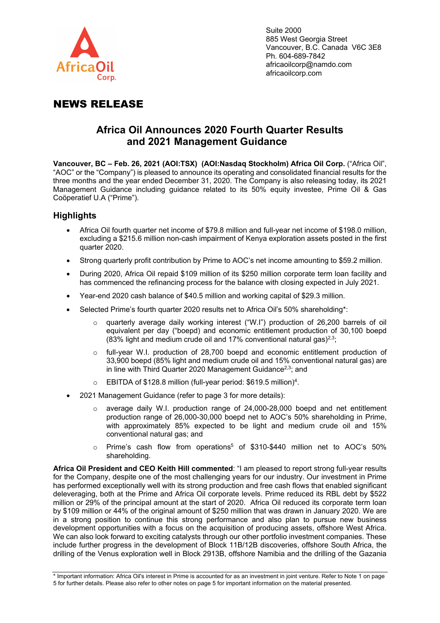

Suite 2000 885 West Georgia Street Vancouver, B.C. Canada V6C 3E8 Ph. 604-689-7842 africaoilcorp@namdo.com africaoilcorp.com

# NEWS RELEASE

## **Africa Oil Announces 2020 Fourth Quarter Results and 2021 Management Guidance**

**Vancouver, BC – Feb. 26, 2021 (AOI:TSX) (AOI:Nasdaq Stockholm) Africa Oil Corp.** ("Africa Oil", "AOC" or the "Company") is pleased to announce its operating and consolidated financial results for the three months and the year ended December 31, 2020. The Company is also releasing today, its 2021 Management Guidance including guidance related to its 50% equity investee, Prime Oil & Gas Coöperatief U.A ("Prime").

## **Highlights**

- Africa Oil fourth quarter net income of \$79.8 million and full-year net income of \$198.0 million, excluding a \$215.6 million non-cash impairment of Kenya exploration assets posted in the first quarter 2020.
- Strong quarterly profit contribution by Prime to AOC's net income amounting to \$59.2 million.
- During 2020, Africa Oil repaid \$109 million of its \$250 million corporate term loan facility and has commenced the refinancing process for the balance with closing expected in July 2021.
- Year-end 2020 cash balance of \$40.5 million and working capital of \$29.3 million.
- Selected Prime's fourth quarter 2020 results net to Africa Oil's 50% shareholding\*:
	- quarterly average daily working interest ("W.I") production of 26,200 barrels of oil equivalent per day ("boepd) and economic entitlement production of 30,100 boepd (83% light and medium crude oil and 17% conventional natural gas)<sup>2,3</sup>;
	- full-year W.I. production of 28,700 boepd and economic entitlement production of 33,900 boepd (85% light and medium crude oil and 15% conventional natural gas) are in line with Third Quarter 2020 Management Guidance<sup>2,3</sup>; and
	- $\circ$  EBITDA of \$128.8 million (full-year period: \$619.5 million)<sup>4</sup>.
- 2021 Management Guidance (refer to page 3 for more details):
	- average daily W.I. production range of 24,000-28,000 boepd and net entitlement production range of 26,000-30,000 boepd net to AOC's 50% shareholding in Prime, with approximately 85% expected to be light and medium crude oil and 15% conventional natural gas; and
	- o Prime's cash flow from operations<sup>5</sup> of \$310-\$440 million net to AOC's 50% shareholding.

**Africa Oil President and CEO Keith Hill commented**: "I am pleased to report strong full-year results for the Company, despite one of the most challenging years for our industry. Our investment in Prime has performed exceptionally well with its strong production and free cash flows that enabled significant deleveraging, both at the Prime and Africa Oil corporate levels. Prime reduced its RBL debt by \$522 million or 29% of the principal amount at the start of 2020. Africa Oil reduced its corporate term loan by \$109 million or 44% of the original amount of \$250 million that was drawn in January 2020. We are in a strong position to continue this strong performance and also plan to pursue new business development opportunities with a focus on the acquisition of producing assets, offshore West Africa. We can also look forward to exciting catalysts through our other portfolio investment companies. These include further progress in the development of Block 11B/12B discoveries, offshore South Africa, the drilling of the Venus exploration well in Block 2913B, offshore Namibia and the drilling of the Gazania

<sup>\*</sup> Important information: Africa Oil's interest in Prime is accounted for as an investment in joint venture. Refer to Note 1 on page 5 for further details. Please also refer to other notes on page 5 for important information on the material presented.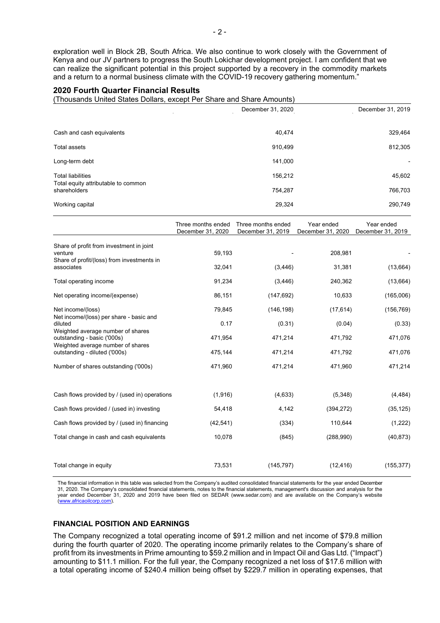exploration well in Block 2B, South Africa. We also continue to work closely with the Government of Kenya and our JV partners to progress the South Lokichar development project. I am confident that we can realize the significant potential in this project supported by a recovery in the commodity markets and a return to a normal business climate with the COVID-19 recovery gathering momentum."

#### **2020 Fourth Quarter Financial Results**

(Thousands United States Dollars, except Per Share and Share Amounts)

|                                                     | December 31, 2020 | December 31, 2019 |
|-----------------------------------------------------|-------------------|-------------------|
|                                                     |                   |                   |
| Cash and cash equivalents                           | 40,474            | 329,464           |
| <b>Total assets</b>                                 | 910,499           | 812,305           |
| Long-term debt                                      | 141,000           |                   |
| <b>Total liabilities</b>                            | 156,212           | 45,602            |
| Total equity attributable to common<br>shareholders | 754,287           | 766,703           |
| Working capital                                     | 29,324            | 290,749           |

|                                                                                                       | Three months ended | Three months ended | Year ended        | Year ended        |
|-------------------------------------------------------------------------------------------------------|--------------------|--------------------|-------------------|-------------------|
|                                                                                                       | December 31, 2020  | December 31, 2019  | December 31, 2020 | December 31, 2019 |
| Share of profit from investment in joint<br>venture<br>Share of profit/(loss) from investments in     | 59,193             |                    | 208,981           |                   |
| associates                                                                                            | 32,041             | (3, 446)           | 31,381            | (13,664)          |
| Total operating income                                                                                | 91,234             | (3, 446)           | 240,362           | (13,664)          |
| Net operating income/(expense)                                                                        | 86,151             | (147, 692)         | 10,633            | (165,006)         |
| Net income/(loss)<br>Net income/(loss) per share - basic and                                          | 79,845             | (146, 198)         | (17, 614)         | (156, 769)        |
| diluted                                                                                               | 0.17               | (0.31)             | (0.04)            | (0.33)            |
| Weighted average number of shares<br>outstanding - basic ('000s)<br>Weighted average number of shares | 471,954            | 471,214            | 471,792           | 471,076           |
| outstanding - diluted ('000s)                                                                         | 475,144            | 471,214            | 471,792           | 471,076           |
| Number of shares outstanding ('000s)                                                                  | 471,960            | 471,214            | 471,960           | 471,214           |
|                                                                                                       |                    |                    |                   |                   |
| Cash flows provided by / (used in) operations                                                         | (1, 916)           | (4,633)            | (5, 348)          | (4, 484)          |
| Cash flows provided / (used in) investing                                                             | 54,418             | 4,142              | (394, 272)        | (35, 125)         |
| Cash flows provided by / (used in) financing                                                          | (42, 541)          | (334)              | 110,644           | (1,222)           |
| Total change in cash and cash equivalents                                                             | 10,078             | (845)              | (288,990)         | (40, 873)         |
|                                                                                                       |                    |                    |                   |                   |
| Total change in equity                                                                                | 73,531             | (145, 797)         | (12, 416)         | (155, 377)        |

The financial information in this table was selected from the Company's audited consolidated financial statements for the year ended December 31, 2020. The Company's consolidated financial statements, notes to the financial statements, management's discussion and analysis for the year ended December 31, 2020 and 2019 have been filed on SEDAR (www.sedar.com) and are available on the Company's website [\(www.africaoilcorp.com\).](about:blank)

## **FINANCIAL POSITION AND EARNINGS**

The Company recognized a total operating income of \$91.2 million and net income of \$79.8 million during the fourth quarter of 2020. The operating income primarily relates to the Company's share of profit from its investments in Prime amounting to \$59.2 million and in Impact Oil and Gas Ltd. ("Impact") amounting to \$11.1 million. For the full year, the Company recognized a net loss of \$17.6 million with a total operating income of \$240.4 million being offset by \$229.7 million in operating expenses, that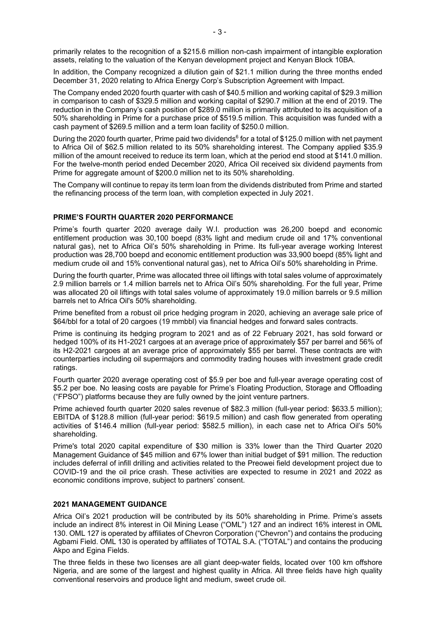primarily relates to the recognition of a \$215.6 million non-cash impairment of intangible exploration assets, relating to the valuation of the Kenyan development project and Kenyan Block 10BA.

In addition, the Company recognized a dilution gain of \$21.1 million during the three months ended December 31, 2020 relating to Africa Energy Corp's Subscription Agreement with Impact.

The Company ended 2020 fourth quarter with cash of \$40.5 million and working capital of \$29.3 million in comparison to cash of \$329.5 million and working capital of \$290.7 million at the end of 2019. The reduction in the Company's cash position of \$289.0 million is primarily attributed to its acquisition of a 50% shareholding in Prime for a purchase price of \$519.5 million. This acquisition was funded with a cash payment of \$269.5 million and a term loan facility of \$250.0 million.

During the 2020 fourth quarter, Prime paid two dividends<sup>6</sup> for a total of \$125.0 million with net payment to Africa Oil of \$62.5 million related to its 50% shareholding interest. The Company applied \$35.9 million of the amount received to reduce its term loan, which at the period end stood at \$141.0 million. For the twelve-month period ended December 2020, Africa Oil received six dividend payments from Prime for aggregate amount of \$200.0 million net to its 50% shareholding.

The Company will continue to repay its term loan from the dividends distributed from Prime and started the refinancing process of the term loan, with completion expected in July 2021.

## **PRIME'S FOURTH QUARTER 2020 PERFORMANCE**

Prime's fourth quarter 2020 average daily W.I. production was 26,200 boepd and economic entitlement production was 30,100 boepd (83% light and medium crude oil and 17% conventional natural gas), net to Africa Oil's 50% shareholding in Prime. Its full-year average working Interest production was 28,700 boepd and economic entitlement production was 33,900 boepd (85% light and medium crude oil and 15% conventional natural gas), net to Africa Oil's 50% shareholding in Prime.

During the fourth quarter, Prime was allocated three oil liftings with total sales volume of approximately 2.9 million barrels or 1.4 million barrels net to Africa Oil's 50% shareholding. For the full year, Prime was allocated 20 oil liftings with total sales volume of approximately 19.0 million barrels or 9.5 million barrels net to Africa Oil's 50% shareholding.

Prime benefited from a robust oil price hedging program in 2020, achieving an average sale price of \$64/bbl for a total of 20 cargoes (19 mmbbl) via financial hedges and forward sales contracts.

Prime is continuing its hedging program to 2021 and as of 22 February 2021, has sold forward or hedged 100% of its H1-2021 cargoes at an average price of approximately \$57 per barrel and 56% of its H2-2021 cargoes at an average price of approximately \$55 per barrel. These contracts are with counterparties including oil supermajors and commodity trading houses with investment grade credit ratings.

Fourth quarter 2020 average operating cost of \$5.9 per boe and full-year average operating cost of \$5.2 per boe. No leasing costs are payable for Prime's Floating Production, Storage and Offloading ("FPSO") platforms because they are fully owned by the joint venture partners.

Prime achieved fourth quarter 2020 sales revenue of \$82.3 million (full-year period: \$633.5 million); EBITDA of \$128.8 million (full-year period: \$619.5 million) and cash flow generated from operating activities of \$146.4 million (full-year period: \$582.5 million), in each case net to Africa Oil's 50% shareholding.

Prime's total 2020 capital expenditure of \$30 million is 33% lower than the Third Quarter 2020 Management Guidance of \$45 million and 67% lower than initial budget of \$91 million. The reduction includes deferral of infill drilling and activities related to the Preowei field development project due to COVID-19 and the oil price crash. These activities are expected to resume in 2021 and 2022 as economic conditions improve, subject to partners' consent.

#### **2021 MANAGEMENT GUIDANCE**

Africa Oil's 2021 production will be contributed by its 50% shareholding in Prime. Prime's assets include an indirect 8% interest in Oil Mining Lease ("OML") 127 and an indirect 16% interest in OML 130. OML 127 is operated by affiliates of Chevron Corporation ("Chevron") and contains the producing Agbami Field. OML 130 is operated by affiliates of TOTAL S.A. ("TOTAL") and contains the producing Akpo and Egina Fields.

The three fields in these two licenses are all giant deep-water fields, located over 100 km offshore Nigeria, and are some of the largest and highest quality in Africa. All three fields have high quality conventional reservoirs and produce light and medium, sweet crude oil.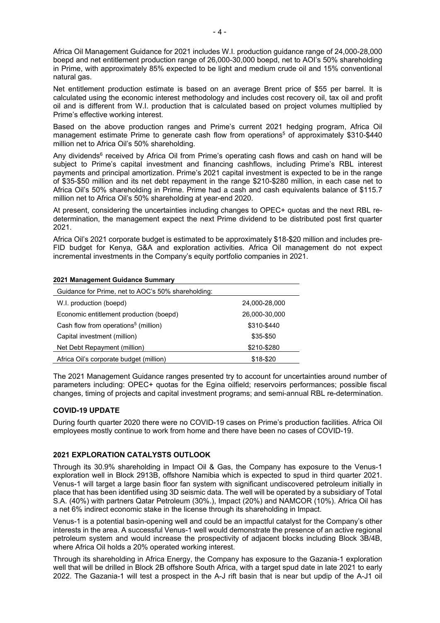Africa Oil Management Guidance for 2021 includes W.I. production guidance range of 24,000-28,000 boepd and net entitlement production range of 26,000-30,000 boepd, net to AOI's 50% shareholding in Prime, with approximately 85% expected to be light and medium crude oil and 15% conventional natural gas.

Net entitlement production estimate is based on an average Brent price of \$55 per barrel. It is calculated using the economic interest methodology and includes cost recovery oil, tax oil and profit oil and is different from W.I. production that is calculated based on project volumes multiplied by Prime's effective working interest.

Based on the above production ranges and Prime's current 2021 hedging program, Africa Oil management estimate Prime to generate cash flow from operations<sup>5</sup> of approximately \$310-\$440 million net to Africa Oil's 50% shareholding.

Any dividends<sup>6</sup> received by Africa Oil from Prime's operating cash flows and cash on hand will be subject to Prime's capital investment and financing cashflows, including Prime's RBL interest payments and principal amortization. Prime's 2021 capital investment is expected to be in the range of \$35-\$50 million and its net debt repayment in the range \$210-\$280 million, in each case net to Africa Oil's 50% shareholding in Prime. Prime had a cash and cash equivalents balance of \$115.7 million net to Africa Oil's 50% shareholding at year-end 2020.

At present, considering the uncertainties including changes to OPEC+ quotas and the next RBL redetermination, the management expect the next Prime dividend to be distributed post first quarter 2021.

Africa Oil's 2021 corporate budget is estimated to be approximately \$18-\$20 million and includes pre-FID budget for Kenya, G&A and exploration activities. Africa Oil management do not expect incremental investments in the Company's equity portfolio companies in 2021.

| 2021 Management Guidance Summary                   |               |  |  |  |
|----------------------------------------------------|---------------|--|--|--|
| Guidance for Prime, net to AOC's 50% shareholding: |               |  |  |  |
| W.I. production (boepd)                            | 24,000-28,000 |  |  |  |
| Economic entitlement production (boepd)            | 26,000-30,000 |  |  |  |
| Cash flow from operations <sup>5</sup> (million)   | \$310-\$440   |  |  |  |
| Capital investment (million)                       | \$35-\$50     |  |  |  |
| Net Debt Repayment (million)                       | \$210-\$280   |  |  |  |
| Africa Oil's corporate budget (million)            | \$18-\$20     |  |  |  |

The 2021 Management Guidance ranges presented try to account for uncertainties around number of parameters including: OPEC+ quotas for the Egina oilfield; reservoirs performances; possible fiscal changes, timing of projects and capital investment programs; and semi-annual RBL re-determination.

## **COVID-19 UPDATE**

During fourth quarter 2020 there were no COVID-19 cases on Prime's production facilities. Africa Oil employees mostly continue to work from home and there have been no cases of COVID-19.

## **2021 EXPLORATION CATALYSTS OUTLOOK**

Through its 30.9% shareholding in Impact Oil & Gas, the Company has exposure to the Venus-1 exploration well in Block 2913B, offshore Namibia which is expected to spud in third quarter 2021. Venus-1 will target a large basin floor fan system with significant undiscovered petroleum initially in place that has been identified using 3D seismic data. The well will be operated by a subsidiary of Total S.A. (40%) with partners Qatar Petroleum (30%.), Impact (20%) and NAMCOR (10%). Africa Oil has a net 6% indirect economic stake in the license through its shareholding in Impact.

Venus-1 is a potential basin-opening well and could be an impactful catalyst for the Company's other interests in the area. A successful Venus-1 well would demonstrate the presence of an active regional petroleum system and would increase the prospectivity of adjacent blocks including Block 3B/4B, where Africa Oil holds a 20% operated working interest.

Through its shareholding in Africa Energy, the Company has exposure to the Gazania-1 exploration well that will be drilled in Block 2B offshore South Africa, with a target spud date in late 2021 to early 2022. The Gazania-1 will test a prospect in the A-J rift basin that is near but updip of the A-J1 oil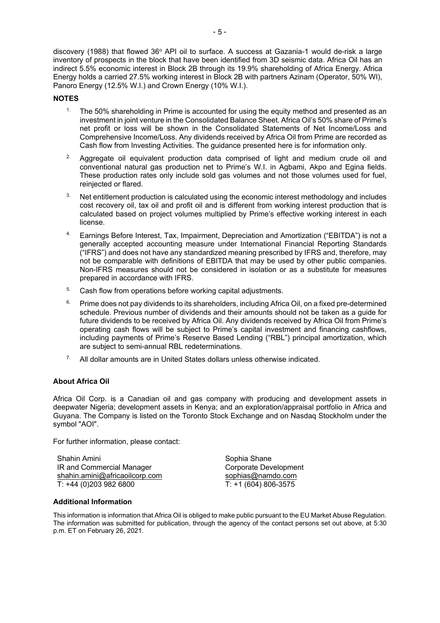- 5 -

discovery (1988) that flowed  $36^{\circ}$  API oil to surface. A success at Gazania-1 would de-risk a large inventory of prospects in the block that have been identified from 3D seismic data. Africa Oil has an indirect 5.5% economic interest in Block 2B through its 19.9% shareholding of Africa Energy. Africa Energy holds a carried 27.5% working interest in Block 2B with partners Azinam (Operator, 50% WI), Panoro Energy (12.5% W.I.) and Crown Energy (10% W.I.).

## **NOTES**

- <sup>1.</sup> The 50% shareholding in Prime is accounted for using the equity method and presented as an investment in joint venture in the Consolidated Balance Sheet. Africa Oil's 50% share of Prime's net profit or loss will be shown in the Consolidated Statements of Net Income/Loss and Comprehensive Income/Loss. Any dividends received by Africa Oil from Prime are recorded as Cash flow from Investing Activities. The guidance presented here is for information only.
- $2\degree$  Aggregate oil equivalent production data comprised of light and medium crude oil and conventional natural gas production net to Prime's W.I. in Agbami, Akpo and Egina fields. These production rates only include sold gas volumes and not those volumes used for fuel, reinjected or flared.
- $3.$  Net entitlement production is calculated using the economic interest methodology and includes cost recovery oil, tax oil and profit oil and is different from working interest production that is calculated based on project volumes multiplied by Prime's effective working interest in each license.
- 4. Earnings Before Interest, Tax, Impairment, Depreciation and Amortization ("EBITDA") is not a generally accepted accounting measure under International Financial Reporting Standards ("IFRS") and does not have any standardized meaning prescribed by IFRS and, therefore, may not be comparable with definitions of EBITDA that may be used by other public companies. Non-IFRS measures should not be considered in isolation or as a substitute for measures prepared in accordance with IFRS.
- <sup>5.</sup> Cash flow from operations before working capital adjustments.
- <sup>6.</sup> Prime does not pay dividends to its shareholders, including Africa Oil, on a fixed pre-determined schedule. Previous number of dividends and their amounts should not be taken as a guide for future dividends to be received by Africa Oil. Any dividends received by Africa Oil from Prime's operating cash flows will be subject to Prime's capital investment and financing cashflows, including payments of Prime's Reserve Based Lending ("RBL") principal amortization, which are subject to semi-annual RBL redeterminations.
- $7.$  All dollar amounts are in United States dollars unless otherwise indicated.

## **About Africa Oil**

Africa Oil Corp. is a Canadian oil and gas company with producing and development assets in deepwater Nigeria; development assets in Kenya; and an exploration/appraisal portfolio in Africa and Guyana. The Company is listed on the Toronto Stock Exchange and on Nasdaq Stockholm under the symbol "AOI".

For further information, please contact:

Shahin Amini IR and Commercial Manager [shahin.amini@africaoilcorp.com](about:blank) T: +44 (0)203 982 6800

Sophia Shane Corporate Development [sophias@namdo.com](about:blank) T: +1 (604) 806-3575

## **Additional Information**

This information is information that Africa Oil is obliged to make public pursuant to the EU Market Abuse Regulation. The information was submitted for publication, through the agency of the contact persons set out above, at 5:30 p.m. ET on February 26, 2021.